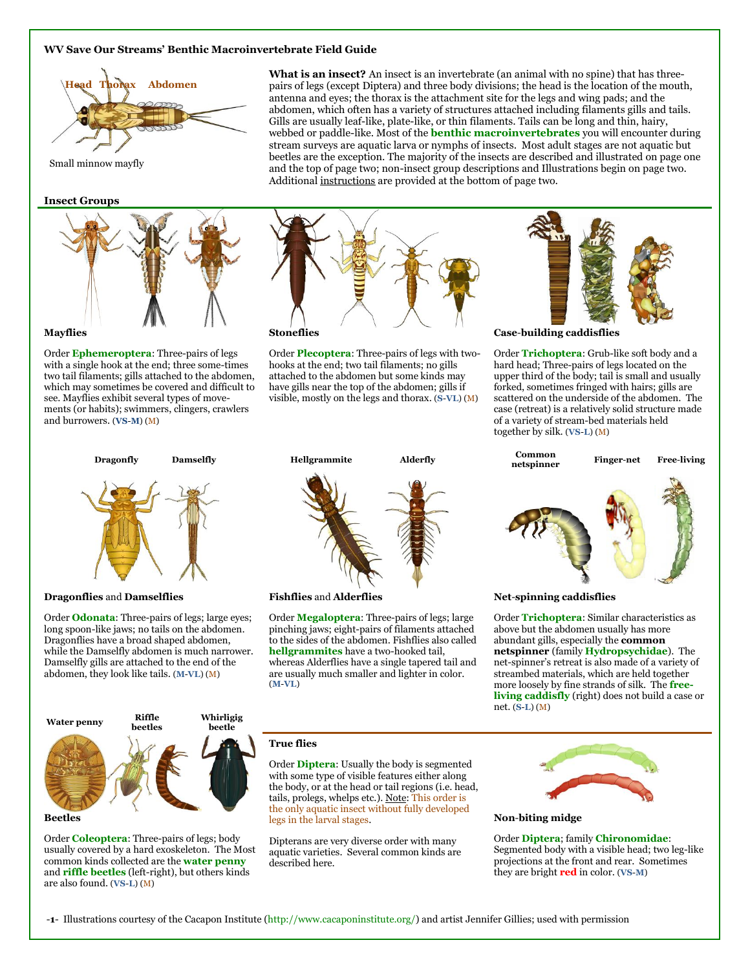# **WV Save Our Streams' Benthic Macroinvertebrate Field Guide**



Small minnow mayfly

#### **Insect Groups**



Order **[Ephemeroptera](http://www.dep.wv.gov/WWE/getinvolved/sos/Pages/Ephemeroptera.aspx)**: Three-pairs of legs with a single hook at the end; three some-times two tail filaments; gills attached to the abdomen, which may sometimes be covered and difficult to see. Mayflies exhibit several types of movements (or habits); swimmers, clingers, crawlers and burrowers. (**VS**-**M**) (M)

**What is an insect?** An insect is an invertebrate (an animal with no spine) that has threepairs of legs (except Diptera) and three body divisions; the head is the location of the mouth, antenna and eyes; the thorax is the attachment site for the legs and wing pads; and the abdomen, which often has a variety of structures attached including filaments gills and tails. Gills are usually leaf-like, plate-like, or thin filaments. Tails can be long and thin, hairy, webbed or paddle-like. Most of the **[benthic macroinvertebrates](http://www.dep.wv.gov/WWE/getinvolved/sos/Pages/Benthics.aspx)** you will encounter during stream surveys are aquatic larva or nymphs of insects. Most adult stages are not aquatic but beetles are the exception. The majority of the insects are described and illustrated on page one and the top of page two; non-insect group descriptions and Illustrations begin on page two. Additional instructions are provided at the bottom of page two.



Order **[Plecoptera](http://www.dep.wv.gov/WWE/getinvolved/sos/Pages/Plecoptera.aspx)**: Three-pairs of legs with twohooks at the end; two tail filaments; no gills attached to the abdomen but some kinds may have gills near the top of the abdomen; gills if visible, mostly on the legs and thorax. (**S**-**VL**) (M)



**Case**-**building caddisflies**

Order **[Trichoptera](http://www.dep.wv.gov/WWE/getinvolved/sos/Pages/Trichoptera.aspx)**: Grub-like soft body and a hard head; Three-pairs of legs located on the upper third of the body; tail is small and usually forked, sometimes fringed with hairs; gills are scattered on the underside of the abdomen. The case (retreat) is a relatively solid structure made of a variety of stream-bed materials held together by silk. (**VS**-**L**) (M)



#### **Dragonflies** and **Damselflies**

Order **[Odonata](http://www.dep.wv.gov/WWE/getinvolved/sos/Pages/Odonata.aspx)**: Three-pairs of legs; large eyes; long spoon-like jaws; no tails on the abdomen. Dragonflies have a broad shaped abdomen, while the Damselfly abdomen is much narrower. Damselfly gills are attached to the end of the abdomen, they look like tails. (**M**-**VL**) (M)



Order **[Coleoptera](http://www.dep.wv.gov/WWE/getinvolved/sos/Pages/ColeopteraHemiptera.aspx)**: Three-pairs of legs; body usually covered by a hard exoskeleton. The Most common kinds collected are the **water penny** and **riffle beetles** (left-right), but others kinds are also found. (**VS**-**L**) (M)

**Fishflies** and **Alderflies**

Order **[Megaloptera](http://www.dep.wv.gov/WWE/getinvolved/sos/Pages/Megaloptera.aspx)**: Three-pairs of legs; large pinching jaws; eight-pairs of filaments attached to the sides of the abdomen. Fishflies also called **hellgrammites** have a two-hooked tail, whereas Alderflies have a single tapered tail and are usually much smaller and lighter in color. (**M**-**VL**)



**Net**-**spinning caddisflies**

Order **[Trichoptera](http://www.dep.wv.gov/WWE/getinvolved/sos/Pages/Trichoptera.aspx)**: Similar characteristics as above but the abdomen usually has more abundant gills, especially the **common netspinner** (family **[Hydropsychidae](http://www.epa.gov/bioindicators/html/caddisflies_hydropsychidae.html)**). The net-spinner's retreat is also made of a variety of streambed materials, which are held together more loosely by fine strands of silk. The **[free](http://www.bgsd.k12.wa.us/hml/jr_cam/macros/amc/freeliv_caddis.html)[living caddisfly](http://www.bgsd.k12.wa.us/hml/jr_cam/macros/amc/freeliv_caddis.html)** (right) does not build a case or net. (**S**-**L**) (M)

# **True flies**

Order **[Diptera](http://watermonitoring.uwex.edu/wav/monitoring/coordinator/ecology/diptera.html)**: Usually the body is segmented with some type of visible features either along the body, or at the head or tail regions (i.e. head, tails, prolegs, whelps etc.). Note: This order is the only aquatic insect without fully developed legs in the larval stages.

Dipterans are very diverse order with many aquatic varieties. Several common kinds are described here.



**Non**-**biting midge**

Order **[Diptera](http://www.dep.wv.gov/WWE/getinvolved/sos/Pages/Diptera.aspx)**; family **[Chironomidae](http://www.entomology.umn.edu/midge/nonbitingmidge.htm)**: Segmented body with a visible head; two leg-like projections at the front and rear. Sometimes they are bright **red** in color. (**VS**-**M**)